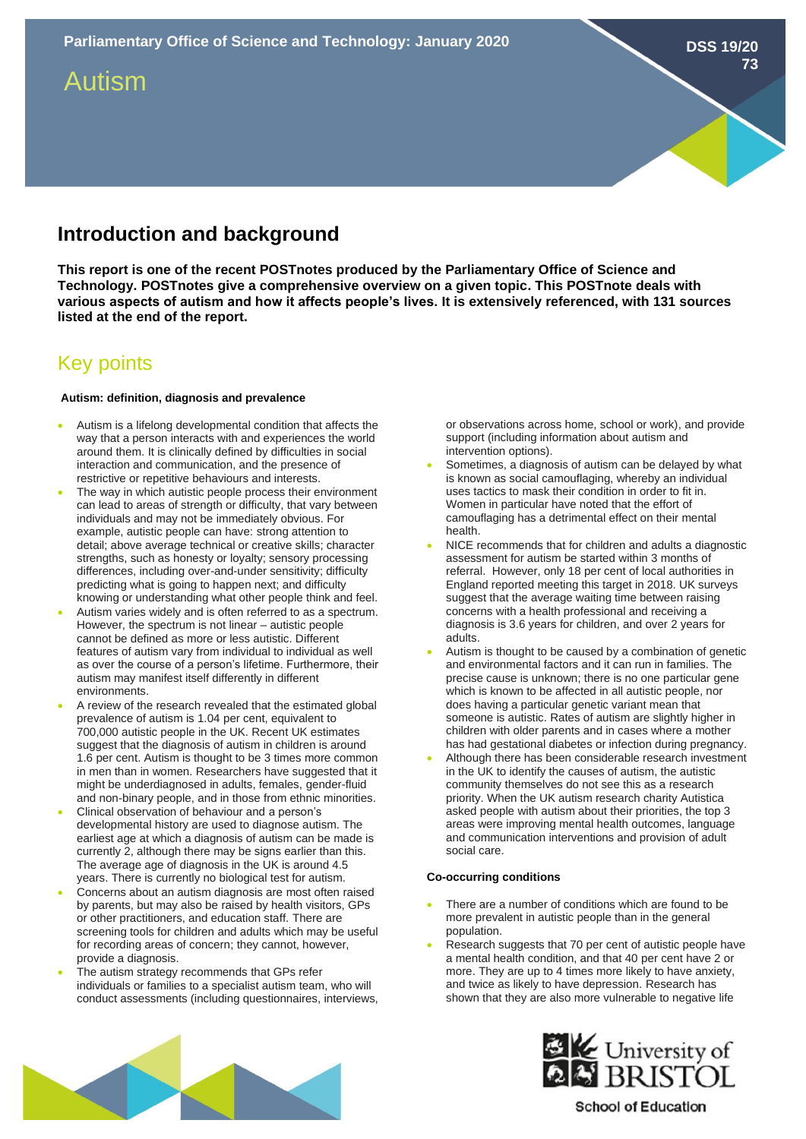# Autism

## **Introduction and background**

**This report is one of the recent POSTnotes produced by the Parliamentary Office of Science and Technology. POSTnotes give a comprehensive overview on a given topic. This POSTnote deals with various aspects of autism and how it affects people's lives. It is extensively referenced, with 131 sources listed at the end of the report.** 

### Key points

#### **Autism: definition, diagnosis and prevalence**

- Autism is a lifelong developmental condition that affects the way that a person interacts with and experiences the world around them. It is clinically defined by difficulties in social interaction and communication, and the presence of restrictive or repetitive behaviours and interests.
- The way in which autistic people process their environment can lead to areas of strength or difficulty, that vary between individuals and may not be immediately obvious. For example, autistic people can have: strong attention to detail; above average technical or creative skills; character strengths, such as honesty or loyalty; sensory processing differences, including over-and-under sensitivity; difficulty predicting what is going to happen next; and difficulty knowing or understanding what other people think and feel.
- Autism varies widely and is often referred to as a spectrum. However, the spectrum is not linear – autistic people cannot be defined as more or less autistic. Different features of autism vary from individual to individual as well as over the course of a person's lifetime. Furthermore, their autism may manifest itself differently in different environments.
- A review of the research revealed that the estimated global prevalence of autism is 1.04 per cent, equivalent to 700,000 autistic people in the UK. Recent UK estimates suggest that the diagnosis of autism in children is around 1.6 per cent. Autism is thought to be 3 times more common in men than in women. Researchers have suggested that it might be underdiagnosed in adults, females, gender-fluid and non-binary people, and in those from ethnic minorities.
- Clinical observation of behaviour and a person's developmental history are used to diagnose autism. The earliest age at which a diagnosis of autism can be made is currently 2, although there may be signs earlier than this. The average age of diagnosis in the UK is around 4.5 years. There is currently no biological test for autism.
- Concerns about an autism diagnosis are most often raised by parents, but may also be raised by health visitors, GPs or other practitioners, and education staff. There are screening tools for children and adults which may be useful for recording areas of concern; they cannot, however, provide a diagnosis.
- The autism strategy recommends that GPs refer individuals or families to a specialist autism team, who will conduct assessments (including questionnaires, interviews,

or observations across home, school or work), and provide support (including information about autism and intervention options).

**DSS 19/20**

**73**

- Sometimes, a diagnosis of autism can be delayed by what is known as social camouflaging, whereby an individual uses tactics to mask their condition in order to fit in. Women in particular have noted that the effort of camouflaging has a detrimental effect on their mental health.
- NICE recommends that for children and adults a diagnostic assessment for autism be started within 3 months of referral. However, only 18 per cent of local authorities in England reported meeting this target in 2018. UK surveys suggest that the average waiting time between raising concerns with a health professional and receiving a diagnosis is 3.6 years for children, and over 2 years for adults.
- Autism is thought to be caused by a combination of genetic and environmental factors and it can run in families. The precise cause is unknown; there is no one particular gene which is known to be affected in all autistic people, nor does having a particular genetic variant mean that someone is autistic. Rates of autism are slightly higher in children with older parents and in cases where a mother has had gestational diabetes or infection during pregnancy.
- Although there has been considerable research investment in the UK to identify the causes of autism, the autistic community themselves do not see this as a research priority. When the UK autism research charity Autistica asked people with autism about their priorities, the top 3 areas were improving mental health outcomes, language and communication interventions and provision of adult social care.

#### **Co-occurring conditions**

- There are a number of conditions which are found to be more prevalent in autistic people than in the general population.
- Research suggests that 70 per cent of autistic people have a mental health condition, and that 40 per cent have 2 or more. They are up to 4 times more likely to have anxiety, and twice as likely to have depression. Research has shown that they are also more vulnerable to negative life





**School of Education**